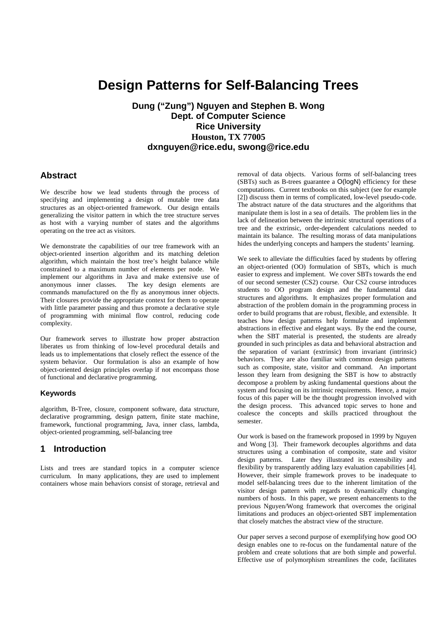# **Design Patterns for Self-Balancing Trees**

**Dung ("Zung") Nguyen and Stephen B. Wong Dept. of Computer Science Rice University Houston, TX 77005 dxnguyen@rice.edu, swong@rice.edu**

### **Abstract**

We describe how we lead students through the process of specifying and implementing a design of mutable tree data structures as an object-oriented framework. Our design entails generalizing the visitor pattern in which the tree structure serves as host with a varying number of states and the algorithms operating on the tree act as visitors.

We demonstrate the capabilities of our tree framework with an object-oriented insertion algorithm and its matching deletion algorithm, which maintain the host tree's height balance while constrained to a maximum number of elements per node. We implement our algorithms in Java and make extensive use of anonymous inner classes. The key design elements are commands manufactured on the fly as anonymous inner objects. Their closures provide the appropriate context for them to operate with little parameter passing and thus promote a declarative style of programming with minimal flow control, reducing code complexity.

Our framework serves to illustrate how proper abstraction liberates us from thinking of low-level procedural details and leads us to implementations that closely reflect the essence of the system behavior. Our formulation is also an example of how object-oriented design principles overlap if not encompass those of functional and declarative programming.

#### **Keywords**

algorithm, B-Tree, closure, component software, data structure, declarative programming, design pattern, finite state machine, framework, functional programming, Java, inner class, lambda, object-oriented programming, self-balancing tree

## **1 Introduction**

Lists and trees are standard topics in a computer science curriculum. In many applications, they are used to implement containers whose main behaviors consist of storage, retrieval and

removal of data objects. Various forms of self-balancing trees (SBTs) such as B-trees guarantee a O(logN) efficiency for these computations. Current textbooks on this subject (see for example [2]) discuss them in terms of complicated, low-level pseudo-code. The abstract nature of the data structures and the algorithms that manipulate them is lost in a sea of details. The problem lies in the lack of delineation between the intrinsic structural operations of a tree and the extrinsic, order-dependent calculations needed to maintain its balance. The resulting morass of data manipulations hides the underlying concepts and hampers the students' learning.

We seek to alleviate the difficulties faced by students by offering an object-oriented (OO) formulation of SBTs, which is much easier to express and implement. We cover SBTs towards the end of our second semester (CS2) course. Our CS2 course introduces students to OO program design and the fundamental data structures and algorithms. It emphasizes proper formulation and abstraction of the problem domain in the programming process in order to build programs that are robust, flexible, and extensible. It teaches how design patterns help formulate and implement abstractions in effective and elegant ways. By the end the course, when the SBT material is presented, the students are already grounded in such principles as data and behavioral abstraction and the separation of variant (extrinsic) from invariant (intrinsic) behaviors. They are also familiar with common design patterns such as composite, state, visitor and command. An important lesson they learn from designing the SBT is how to abstractly decompose a problem by asking fundamental questions about the system and focusing on its intrinsic requirements. Hence, a major focus of this paper will be the thought progression involved with the design process. This advanced topic serves to hone and coalesce the concepts and skills practiced throughout the semester.

Our work is based on the framework proposed in 1999 by Nguyen and Wong [3]. Their framework decouples algorithms and data structures using a combination of composite, state and visitor design patterns. Later they illustrated its extensibility and flexibility by transparently adding lazy evaluation capabilities [4]. However, their simple framework proves to be inadequate to model self-balancing trees due to the inherent limitation of the visitor design pattern with regards to dynamically changing numbers of hosts. In this paper, we present enhancements to the previous Nguyen/Wong framework that overcomes the original limitations and produces an object-oriented SBT implementation that closely matches the abstract view of the structure.

Our paper serves a second purpose of exemplifying how good OO design enables one to re-focus on the fundamental nature of the problem and create solutions that are both simple and powerful. Effective use of polymorphism streamlines the code, facilitates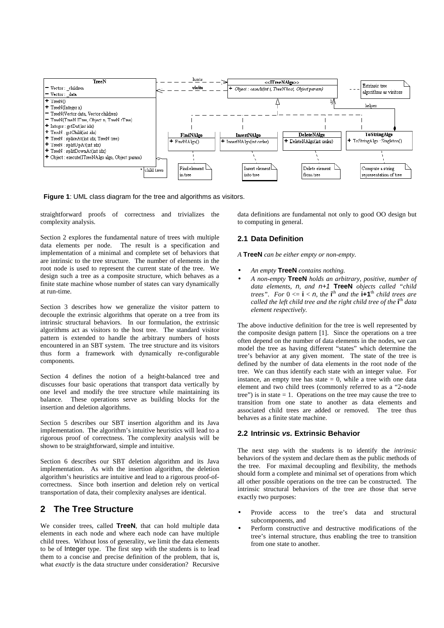

**Figure 1**: UML class diagram for the tree and algorithms as visitors.

straightforward proofs of correctness and trivializes the complexity analysis.

Section 2 explores the fundamental nature of trees with multiple data elements per node. The result is a specification and implementation of a minimal and complete set of behaviors that are intrinsic to the tree structure. The number of elements in the root node is used to represent the current state of the tree. We design such a tree as a composite structure, which behaves as a finite state machine whose number of states can vary dynamically at run-time.

Section 3 describes how we generalize the visitor pattern to decouple the extrinsic algorithms that operate on a tree from its intrinsic structural behaviors. In our formulation, the extrinsic algorithms act as visitors to the host tree. The standard visitor pattern is extended to handle the arbitrary numbers of hosts encountered in an SBT system. The tree structure and its visitors thus form a framework with dynamically re-configurable components.

Section 4 defines the notion of a height-balanced tree and discusses four basic operations that transport data vertically by one level and modify the tree structure while maintaining its balance. These operations serve as building blocks for the insertion and deletion algorithms.

Section 5 describes our SBT insertion algorithm and its Java implementation. The algorithm's intuitive heuristics will lead to a rigorous proof of correctness. The complexity analysis will be shown to be straightforward, simple and intuitive.

Section 6 describes our SBT deletion algorithm and its Java implementation. As with the insertion algorithm, the deletion algorithm's heuristics are intuitive and lead to a rigorous proof-ofcorrectness. Since both insertion and deletion rely on vertical transportation of data, their complexity analyses are identical.

# **2 The Tree Structure**

We consider trees, called **TreeN**, that can hold multiple data elements in each node and where each node can have multiple child trees. Without loss of generality, we limit the data elements to be of Integer type. The first step with the students is to lead them to a concise and precise definition of the problem, that is, what *exactly* is the data structure under consideration? Recursive data definitions are fundamental not only to good OO design but to computing in general.

#### **2.1 Data Definition**

*A* **TreeN** *can be either empty or non-empty.*

- *An empty* **TreeN** *contains nothing.*
- *A non-empty* **TreeN** *holds an arbitrary, positive, number of data elements,* n*, and* n+1 **TreeN** *objects called "child trees*". For  $0 \le i \le n$ , the **i**<sup>th</sup> and the **i+1**<sup>th</sup> child trees are *called the left child tree and the right child tree of the* **i** th *data element respectively.*

The above inductive definition for the tree is well represented by the composite design pattern [1]. Since the operations on a tree often depend on the number of data elements in the nodes, we can model the tree as having different "states" which determine the tree's behavior at any given moment. The state of the tree is defined by the number of data elements in the root node of the tree. We can thus identify each state with an integer value. For instance, an empty tree has state  $= 0$ , while a tree with one data element and two child trees (commonly referred to as a "2-node tree") is in state  $= 1$ . Operations on the tree may cause the tree to transition from one state to another as data elements and associated child trees are added or removed. The tree thus behaves as a finite state machine.

#### **2.2 Intrinsic vs. Extrinsic Behavior**

The next step with the students is to identify the *intrinsic* behaviors of the system and declare them as the public methods of the tree. For maximal decoupling and flexibility, the methods should form a complete and minimal set of operations from which all other possible operations on the tree can be constructed. The intrinsic structural behaviors of the tree are those that serve exactly two purposes:

- Provide access to the tree's data and structural subcomponents, and
- Perform constructive and destructive modifications of the tree's internal structure, thus enabling the tree to transition from one state to another.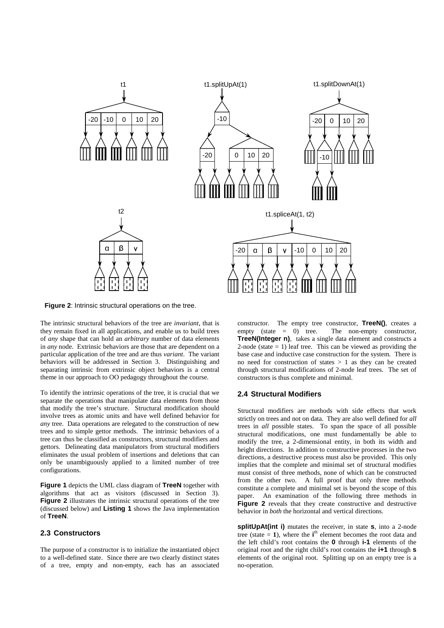

**Figure 2**: Intrinsic structural operations on the tree.

The intrinsic structural behaviors of the tree are *invariant*, that is they remain fixed in all applications, and enable us to build trees of *any* shape that can hold an *arbitrary* number of data elements in *any* node. Extrinsic behaviors are those that are dependent on a particular application of the tree and are thus *variant*. The variant behaviors will be addressed in Section 3. Distinguishing and separating intrinsic from extrinsic object behaviors is a central theme in our approach to OO pedagogy throughout the course.

To identify the intrinsic operations of the tree, it is crucial that we separate the operations that manipulate data elements from those that modify the tree's structure. Structural modification should involve trees as atomic units and have well defined behavior for *any* tree. Data operations are relegated to the construction of new trees and to simple gettor methods. The intrinsic behaviors of a tree can thus be classified as constructors, structural modifiers and gettors. Delineating data manipulators from structural modifiers eliminates the usual problem of insertions and deletions that can only be unambiguously applied to a limited number of tree configurations.

**Figure 1** depicts the UML class diagram of **TreeN** together with algorithms that act as visitors (discussed in Section 3). **Figure 2** illustrates the intrinsic structural operations of the tree (discussed below) and **Listing 1** shows the Java implementation of **TreeN**.

### **2.3 Constructors**

The purpose of a constructor is to initialize the instantiated object to a well-defined state. Since there are two clearly distinct states of a tree, empty and non-empty, each has an associated constructor. The empty tree constructor, **TreeN()**, creates a empty (state  $= 0$ ) tree. The non-empty constructor, **TreeN(Integer n)**, takes a single data element and constructs a 2-node (state  $= 1$ ) leaf tree. This can be viewed as providing the base case and inductive case construction for the system. There is no need for construction of states  $> 1$  as they can be created through structural modifications of 2-node leaf trees. The set of constructors is thus complete and minimal.

#### **2.4 Structural Modifiers**

Structural modifiers are methods with side effects that work strictly on trees and not on data. They are also well defined for *all* trees in *all* possible states. To span the space of all possible structural modifications, one must fundamentally be able to modify the tree, a 2-dimensional entity, in both its width and height directions. In addition to constructive processes in the two directions, a destructive process must also be provided. This only implies that the complete and minimal set of structural modifies must consist of three methods, none of which can be constructed from the other two. A full proof that only three methods constitute a complete and minimal set is beyond the scope of this paper. An examination of the following three methods in **Figure 2** reveals that they create constructive and destructive behavior in *both* the horizontal and vertical directions.

**splitUpAt(int i)** mutates the receiver, in state **s**, into a 2-node tree (state  $= 1$ ), where the  $i<sup>th</sup>$  element becomes the root data and the left child's root contains the **0** through **i-1** elements of the original root and the right child's root contains the **i+1** through **s** elements of the original root. Splitting up on an empty tree is a no-operation.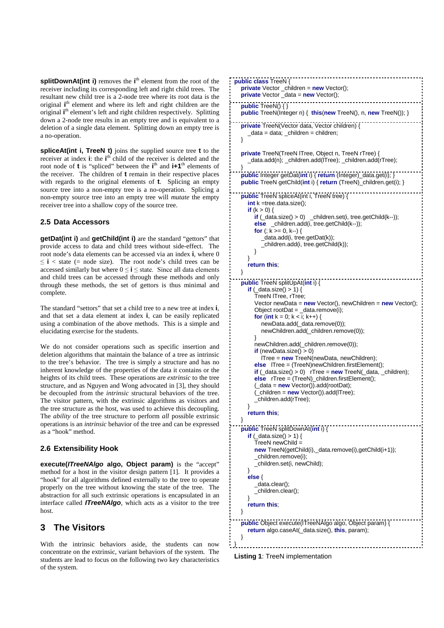**splitDownAt(int i)** removes the **i**<sup>th</sup> element from the root of the receiver including its corresponding left and right child trees. The resultant new child tree is a 2-node tree where its root data is the original *i*<sup>th</sup> element and where its left and right children are the original i<sup>th</sup> element's left and right children respectively. Splitting down a 2-node tree results in an empty tree and is equivalent to a deletion of a single data element. Splitting down an empty tree is a no-operation.

**spliceAt(int i, TreeN t)** joins the supplied source tree **t** to the receiver at index **i**: the **i**<sup>th</sup> child of the receiver is deleted and the root node of **t** is "spliced" between the **i**<sup>th</sup> and **i+1**<sup>th</sup> elements of the receiver. The children of **t** remain in their respective places with regards to the original elements of **t**. Splicing an empty source tree into a non-empty tree is a no-operation. Splicing a non-empty source tree into an empty tree will *mutate* the empty receiver tree into a shallow copy of the source tree.

### **2.5 Data Accessors**

**getDat(int i)** and **getChild(int i)** are the standard " gettors" that provide access to data and child trees without side-effect. The root node's data elements can be accessed via an index **i**, where 0  $\leq$  **i**  $\leq$  state (= node size). The root node's child trees can be accessed similarly but where  $0 \le i \le$  state. Since all data elements and child trees can be accessed through these methods and only through these methods, the set of gettors is thus minimal and complete.

The standard "settors" that set a child tree to a new tree at index **i**, and that set a data element at index **i**, can be easily replicated using a combination of the above methods. This is a simple and elucidating exercise for the students.

We do not consider operations such as specific insertion and deletion algorithms that maintain the balance of a tree as intrinsic to the tree's behavior. The tree is simply a structure and has no inherent knowledge of the properties of the data it contains or the heights of its child trees. These operations are *extrinsic* to the tree structure, and as Nguyen and Wong advocated in [3], they should be decoupled from the *intrinsic* structural behaviors of the tree. The visitor pattern, with the extrinsic algorithms as visitors and the tree structure as the host, was used to achieve this decoupling. The *ability* of the tree structure to perform *all* possible extrinsic operations is an *intrinsic* behavior of the tree and can be expressed as a "hook" method.

### **2.6 Extensibility Hook**

**execute(ITreeNAlgo algo, Object param)** is the " accept" method for a host in the visitor design pattern [1]. It provides a "hook" for all algorithms defined externally to the tree to operate properly on the tree without knowing the state of the tree. The abstraction for all such extrinsic operations is encapsulated in an interface called **ITreeNAlgo**, which acts as a visitor to the tree host.

# **3 The Visitors**

With the intrinsic behaviors aside, the students can now concentrate on the extrinsic, variant behaviors of the system. The students are lead to focus on the following two key characteristics of the system.



**Listing 1**: TreeN implementation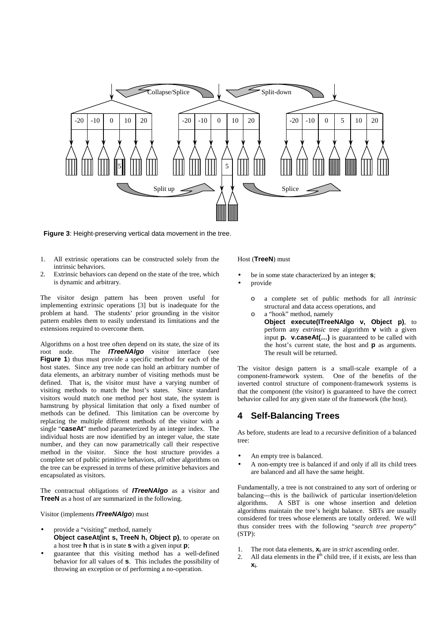

**Figure 3**: Height-preserving vertical data movement in the tree.

- 1. All extrinsic operations can be constructed solely from the intrinsic behaviors.
- 2. Extrinsic behaviors can depend on the state of the tree, which is dynamic and arbitrary.

The visitor design pattern has been proven useful for implementing extrinsic operations [3] but is inadequate for the problem at hand. The students' prior grounding in the visitor pattern enables them to easily understand its limitations and the extensions required to overcome them.

Algorithms on a host tree often depend on its state, the size of its root node. The **ITreeNAlgo** visitor interface (see **Figure 1**) thus must provide a specific method for each of the host states. Since any tree node can hold an arbitrary number of data elements, an arbitrary number of visiting methods must be defined. That is, the visitor must have a varying number of visiting methods to match the host's states. Since standard visitors would match one method per host state, the system is hamstrung by physical limitation that only a fixed number of methods can be defined. This limitation can be overcome by replacing the multiple different methods of the visitor with a single "**caseAt**" method parameterized by an integer index. The individual hosts are now identified by an integer value, the state number, and they can now parametrically call their respective method in the visitor. Since the host structure provides a complete set of public primitive behaviors, *all* other algorithms on the tree can be expressed in terms of these primitive behaviors and encapsulated as visitors.

The contractual obligations of **ITreeNAlgo** as a visitor and **TreeN** as a host of are summarized in the following.

Visitor (implements **ITreeNAlgo**) must

- provide a "visiting" method, namely **Object caseAt(int s, TreeN h, Object p)**, to operate on a host tree **h** that is in state **s** with a given input **p**;
- guarantee that this visiting method has a well-defined behavior for all values of **s**. This includes the possibility of throwing an exception or of performing a no-operation.

#### Host (**TreeN**) must

- be in some state characterized by an integer **s**;
- provide
	- o a complete set of public methods for all *intrinsic* structural and data access operations, and
	- o a "hook" method, namely **Object execute(ITreeNAlgo v, Object p)**, to perform any *extrinsic* tree algorithm **v** with a given input **p. v.caseAt(…)** is guaranteed to be called with the host's current state, the host and **p** as arguments. The result will be returned.

The visitor design pattern is a small-scale example of a component-framework system. One of the benefits of the inverted control structure of component-framework systems is that the component (the visitor) is guaranteed to have the correct behavior called for any given state of the framework (the host).

# **4 Self-Balancing Trees**

As before, students are lead to a recursive definition of a balanced tree:

- An empty tree is balanced.
- A non-empty tree is balanced if and only if all its child trees are balanced and all have the same height.

Fundamentally, a tree is not constrained to any sort of ordering or balancing—this is the bailiwick of particular insertion/deletion algorithms. A SBT is one whose insertion and deletion A SBT is one whose insertion and deletion algorithms maintain the tree's height balance. SBTs are usually considered for trees whose elements are totally ordered. We will thus consider trees with the following "*search tree property*" (STP):

- 1. The root data elements, **x<sup>i</sup>** are in *strict* ascending order.
- 2. All data elements in the **i**<sup>th</sup> child tree, if it exists, are less than **xi**.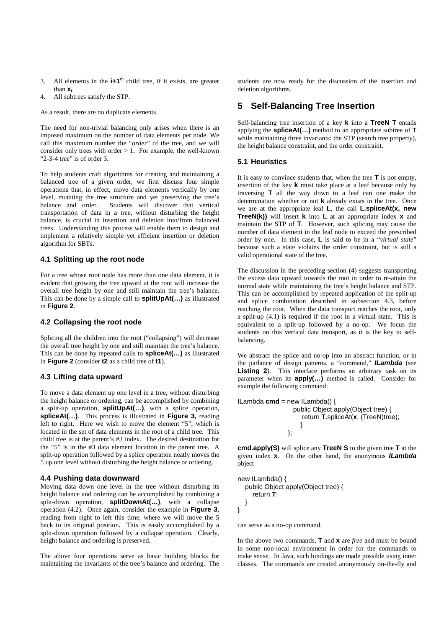- 3. All elements in the  $i+1$ <sup>th</sup> child tree, if it exists, are greater than **xi**.
- 4. All subtrees satisfy the STP.

As a result, there are no duplicate elements.

The need for non-trivial balancing only arises when there is an imposed maximum on the number of data elements per node. We call this maximum number the "*order*" of the tree, and we will consider only trees with order  $> 1$ . For example, the well-known " 2-3-4 tree" is of order 3.

To help students craft algorithms for creating and maintaining a balanced tree of a given order, we first discuss four simple operations that, in effect, move data elements vertically by one level, mutating the tree structure and yet preserving the tree's balance and order. Students will discover that vertical transportation of data in a tree, without disturbing the height balance, is crucial in insertion and deletion into/from balanced trees. Understanding this process will enable them to design and implement a relatively simple yet efficient insertion or deletion algorithm for SBTs.

#### **4.1 Splitting up the root node**

For a tree whose root node has more than one data element, it is evident that growing the tree upward at the root will increase the overall tree height by one and still maintain the tree's balance. This can be done by a simple call to **splitUpAt(…)** as illustrated in **Figure 2**.

### **4.2 Collapsing the root node**

Splicing all the children into the root ("collapsing") will decrease the overall tree height by one and still maintain the tree's balance. This can be done by repeated calls to **spliceAt(…)** as illustrated in **Figure 2** (consider **t2** as a child tree of **t1**).

### **4.3 Lifting data upward**

To move a data element up one level in a tree, without disturbing the height balance or ordering, can be accomplished by combining a split-up operation, **splitUpAt(…)**, with a splice operation, **spliceAt(…)**. This process is illustrated in **Figure 3,** reading left to right. Here we wish to move the element " $5$ ", which is located in the set of data elements in the root of a child tree. This child tree is at the parent's #3 index. The desired destination for the "5" is in the  $\#$ 3 data element location in the parent tree. A split-up operation followed by a splice operation neatly moves the 5 up one level without disturbing the height balance or ordering.

### **4.4 Pushing data downward**

Moving data down one level in the tree without disturbing its height balance and ordering can be accomplished by combining a split-down operation, **splitDownAt(…)**, with a collapse operation (4.2). Once again, consider the example in **Figure 3**, reading from right to left this time, where we will move the 5 back to its original position. This is easily accomplished by a split-down operation followed by a collapse operation. Clearly, height balance and ordering is preserved.

The above four operations serve as basic building blocks for maintaining the invariants of the tree's balance and ordering. The students are now ready for the discussion of the insertion and deletion algorithms.

# **5 Self-Balancing Tree Insertion**

Self-balancing tree insertion of a key **k** into a **TreeN T** entails applying the **spliceAt(…)** method to an appropriate subtree of **T** while maintaining three invariants: the STP (search tree property), the height balance constraint, and the order constraint.

#### **5.1 Heuristics**

It is easy to convince students that, when the tree **T** is not empty, insertion of the key **k** must take place at a leaf because only by traversing **T** all the way down to a leaf can one make the determination whether or not **k** already exists in the tree. Once we are at the appropriate leaf **L**, the call **L.spliceAt(x, new TreeN(k))** will insert **k** into **L** at an appropriate index **x** and maintain the STP of **T**. However, such splicing may cause the number of data element in the leaf node to exceed the prescribed order by one. In this case, L is said to be in a "virtual state" because such a state violates the order constraint, but is still a valid operational state of the tree.

The discussion in the preceding section (4) suggests transporting the excess data upward towards the root in order to re-attain the normal state while maintaining the tree's height balance and STP. This can be accomplished by repeated application of the split-up and splice combination described in subsection 4.3, before reaching the root. When the data transport reaches the root, only a split-up (4.1) is required if the root in a virtual state. This is equivalent to a split-up followed by a no-op. We focus the students on this vertical data transport, as it is the key to selfbalancing.

We abstract the splice and no-op into an abstract function, or in the parlance of design patterns, a " command," **ILambda** (see **Listing 2**). This interface performs an arbitrary task on its parameter when its **apply(…)** method is called. Consider for example the following command:

```
ILambda cmd = new ILambda() {
                  public Object apply(Object tree) {
                     return T.spliceAt(x, (TreeN)tree);
                     }
                };
```
**cmd.apply(S)** will splice any **TreeN S** to the given tree **T** at the given index **x**. On the other hand, the anonymous **ILambda** object

```
new ILambda() {
  public Object apply(Object tree) {
     return T;
  }
}
```
can serve as a no-op command.

In the above two commands, **T** and **x** are *free* and must be bound in some non-local environment in order for the commands to make sense. In Java, such bindings are made possible using inner classes. The commands are created anonymously on-the-fly and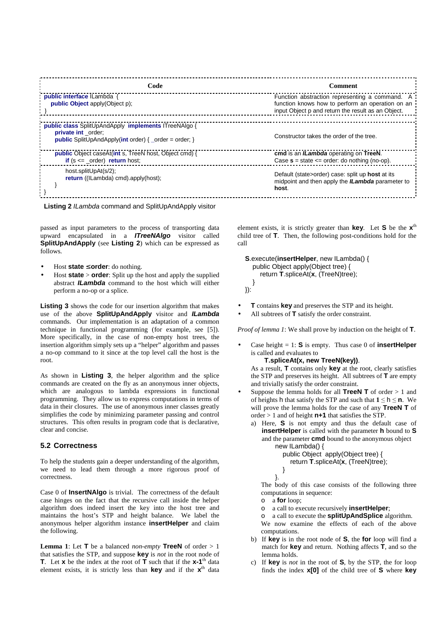| Code                                                                                                                                                       | Comment                                                                                                                                                  |
|------------------------------------------------------------------------------------------------------------------------------------------------------------|----------------------------------------------------------------------------------------------------------------------------------------------------------|
| public interface ILambda {<br><b>public Object</b> apply(Object p);                                                                                        | Function abstraction representing a command. A<br>function knows how to perform an operation on an<br>input Object p and return the result as an Object. |
| public class SplitUpAndApply implements ITreeNAlgo {<br>private int order:<br><b>public</b> SplitUpAndApply( <b>int</b> order) { $\alpha$ order = order; } | Constructor takes the order of the tree.                                                                                                                 |
| <b>public</b> Object caseAt( <b>int</b> s, TreeN host, Object cmd) {<br>if $(s \leq z$ order) return host;                                                 | cmd is an <i>ILambda</i> operating on TreeN.<br>Case $s = state \leq order$ : do nothing (no-op).                                                        |
| host.splitUpAt(s/2);<br>return ((ILambda) cmd).apply(host);                                                                                                | Default (state>order) case: split up host at its<br>midpoint and then apply the <i>ILambda</i> parameter to<br>host.                                     |



passed as input parameters to the process of transporting data upward encapsulated in a **ITreeNAlgo** visitor called **SplitUpAndApply** (see **Listing 2**) which can be expressed as follows.

- Host **state** ≤ **order**: do nothing.
- Host **state** > **order**: Split up the host and apply the supplied abstract **ILambda** command to the host which will either perform a no-op or a splice.

**Listing 3** shows the code for our insertion algorithm that makes use of the above **SplitUpAndApply** visitor and **ILambda** commands. Our implementation is an adaptation of a common technique in functional programming (for example, see [5]). More specifically, in the case of non-empty host trees, the insertion algorithm simply sets up a "helper" algorithm and passes a no-op command to it since at the top level call the host is the root.

As shown in **Listing 3**, the helper algorithm and the splice commands are created on the fly as an anonymous inner objects, which are analogous to lambda expressions in functional programming. They allow us to express computations in terms of data in their closures. The use of anonymous inner classes greatly simplifies the code by minimizing parameter passing and control structures. This often results in program code that is declarative, clear and concise.

### **5.2 Correctness**

To help the students gain a deeper understanding of the algorithm, we need to lead them through a more rigorous proof of correctness.

Case 0 of **InsertNAlgo** is trivial. The correctness of the default case hinges on the fact that the recursive call inside the helper algorithm does indeed insert the key into the host tree and maintains the host's STP and height balance. We label the anonymous helper algorithm instance **insertHelper** and claim the following.

**Lemma** 1: Let **T** be a balanced *non-empty* **TreeN** of order  $> 1$ that satisfies the STP, and suppose **key** is *not* in the root node of **T**. Let **x** be the index at the root of **T** such that if the  $x$ -1<sup>th</sup> data element exists, it is strictly less than **key** and if the **x**<sup>th</sup> data

element exists, it is strictly greater than **key**. Let **S** be the **x** th child tree of **T**. Then, the following post-conditions hold for the call

```
S.execute(insertHelper, new ILambda() {
  public Object apply(Object tree) {
    return T.spliceAt(x, (TreeN)tree);
  }
}):
```
- **T** contains **key** and preserves the STP and its height.
- All subtrees of **T** satisfy the order constraint.

*Proof of lemma 1*: We shall prove by induction on the height of **T**.

Case height  $= 1$ : **S** is empty. Thus case 0 of **insertHelper** is called and evaluates to

#### **T.spliceAt(x, new TreeN(key))**.

As a result, **T** contains only **key** at the root, clearly satisfies the STP and preserves its height. All subtrees of **T** are empty and trivially satisfy the order constraint.

- Suppose the lemma holds for all **TreeN T** of order > 1 and of heights h that satisfy the STP and such that  $1 \le h \le n$ . We will prove the lemma holds for the case of any **TreeN T** of order > 1 and of height **n+1** that satisfies the STP.
	- a) Here, **S** is not empty and thus the default case of **insertHelper** is called with the parameter **h** bound to **S** and the parameter **cmd** bound to the anonymous object new ILambda() {

```
public Object apply(Object tree) {
  return T.spliceAt(x, (TreeN)tree);
```

```
}
}.
```
The body of this case consists of the following three computations in sequence:

- o a **for** loop;
- o a call to execute recursively **insertHelper**;
- o a call to execute the **splitUpAndSplice** algorithm. We now examine the effects of each of the above computations.
- b) If **key** is in the root node of **S**, the **for** loop will find a match for **key** and return. Nothing affects **T**, and so the lemma holds.
- c) If **key** is *not* in the root of **S**, by the STP, the for loop finds the index **x[0]** of the child tree of **S** where **key**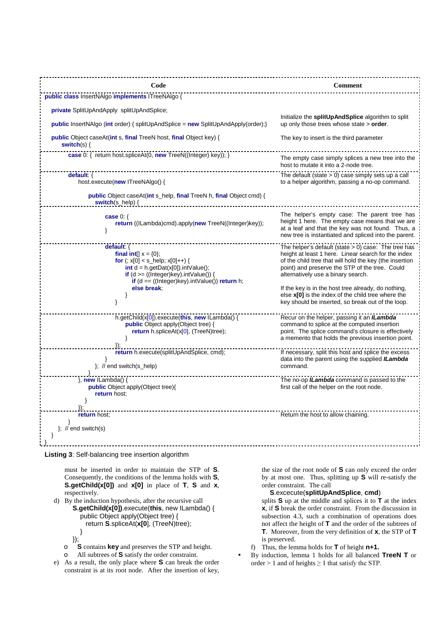

**Listing 3**: Self-balancing tree insertion algorithm

must be inserted in order to maintain the STP of **S**. Consequently, the conditions of the lemma holds with **S**, **S.getChild(x[0])** and **x[0]** in place of **T**, **S** and **x**, respectively.

d) By the induction hypothesis, after the recursive call **S.getChild(x[0])**.execute(**this**, new ILambda() {

```
public Object apply(Object tree) {
```

```
return S.spliceAt(x[0], (TreeN)tree);
```
- }
- }); o **S** contains **key** and preserves the STP and height.
- o All subtrees of **S** satisfy the order constraint.
- e) As a result, the only place where **S** can break the order constraint is at its root node. After the insertion of key,

the size of the root node of **S** can only exceed the order by at most one. Thus, splitting up **S** will re-satisfy the order constraint. The call

**S**.excecute(**splitUpAndSplice**, **cmd**)

splits **S** up at the middle and splices it to **T** at the index **x**, if **S** break the order constraint. From the discussion in subsection 4.3, such a combination of operations does not affect the height of **T** and the order of the subtrees of **T**. Moreover, from the very definition of **x**, the STP of **T** is preserved.

- f) Thus, the lemma holds for **T** of height **n+1.**
- By induction, lemma 1 holds for all balanced **TreeN T** or order  $> 1$  and of heights  $\geq 1$  that satisfy the STP.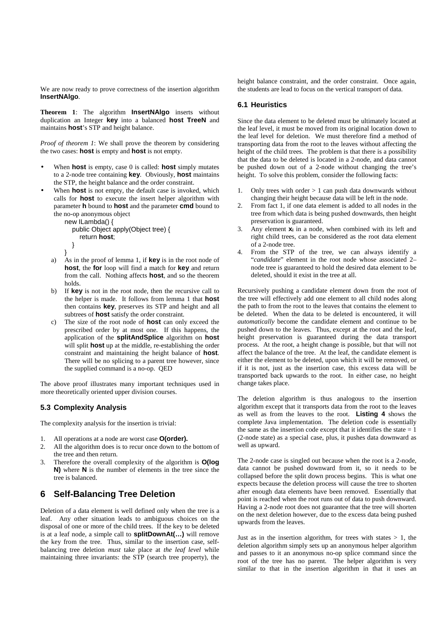We are now ready to prove correctness of the insertion algorithm **InsertNAlgo**.

**Theorem 1**: The algorithm **InsertNAlgo** inserts without duplication an Integer **key** into a balanced **host TreeN** and maintains **host**'s STP and height balance.

*Proof of theorem 1*: We shall prove the theorem by considering the two cases: **host** is empty and **host** is not empty.

- When **host** is empty, case 0 is called: **host** simply mutates to a 2-node tree containing **key**. Obviously, **host** maintains the STP, the height balance and the order constraint.
- When **host** is not empty, the default case is invoked, which calls for **host** to execute the insert helper algorithm with parameter **h** bound to **host** and the parameter **cmd** bound to the no-op anonymous object

```
new ILambda() {
  public Object apply(Object tree) {
    return host;
  }
```

```
}
```
- a) As in the proof of lemma 1, if **key** is in the root node of **host**, the **for** loop will find a match for **key** and return from the call. Nothing affects **host**, and so the theorem holds.
- b) If **key** is not in the root node, then the recursive call to the helper is made. It follows from lemma 1 that **host** then contains **key**, preserves its STP and height and all subtrees of **host** satisfy the order constraint.
- c) The size of the root node of **host** can only exceed the prescribed order by at most one. If this happens, the application of the **splitAndSplice** algorithm on **host** will split **host** up at the middle, re-establishing the order constraint and maintaining the height balance of **host**. There will be no splicing to a parent tree however, since the supplied command is a no-op. QED

The above proof illustrates many important techniques used in more theoretically oriented upper division courses.

## **5.3 Complexity Analysis**

The complexity analysis for the insertion is trivial:

- 1. All operations at a node are worst case **O(order).**
- 2. All the algorithm does is to recur once down to the bottom of the tree and then return.
- 3. Therefore the overall complexity of the algorithm is **O(log N)** where **N** is the number of elements in the tree since the tree is balanced.

# **6 Self-Balancing Tree Deletion**

Deletion of a data element is well defined only when the tree is a leaf. Any other situation leads to ambiguous choices on the disposal of one or more of the child trees. If the key to be deleted is at a leaf node, a simple call to **splitDownAt(…)** will remove the key from the tree. Thus, similar to the insertion case, selfbalancing tree deletion *must* take place at *the leaf level* while maintaining three invariants: the STP (search tree property), the

height balance constraint, and the order constraint. Once again, the students are lead to focus on the vertical transport of data.

#### **6.1 Heuristics**

Since the data element to be deleted must be ultimately located at the leaf level, it must be moved from its original location down to the leaf level for deletion. We must therefore find a method of transporting data from the root to the leaves without affecting the height of the child trees. The problem is that there is a possibility that the data to be deleted is located in a 2-node, and data cannot be pushed down out of a 2-node without changing the tree's height. To solve this problem, consider the following facts:

- 1. Only trees with order  $> 1$  can push data downwards without changing their height because data will be left in the node.
- 2. From fact 1, if one data element is added to all nodes in the tree from which data is being pushed downwards, then height preservation is guaranteed.
- 3. Any element **x<sup>i</sup>** in a node, when combined with its left and right child trees, can be considered as the root data element of a 2-node tree.
- 4. From the STP of the tree, we can always identify a "*candidate*" element in the root node whose associated 2node tree is guaranteed to hold the desired data element to be deleted, should it exist in the tree at all.

Recursively pushing a candidate element down from the root of the tree will effectively add one element to all child nodes along the path to from the root to the leaves that contains the element to be deleted. When the data to be deleted is encountered, it will *automatically* become the candidate element and continue to be pushed down to the leaves. Thus, except at the root and the leaf, height preservation is guaranteed during the data transport process. At the root, a height change is possible, but that will not affect the balance of the tree. At the leaf, the candidate element is either the element to be deleted, upon which it will be removed, or if it is not, just as the insertion case, this excess data will be transported back upwards to the root. In either case, no height change takes place.

The deletion algorithm is thus analogous to the insertion algorithm except that it transports data from the root to the leaves as well as from the leaves to the root. **Listing 4** shows the complete Java implementation. The deletion code is essentially the same as the insertion code except that it identifies the state  $= 1$ (2-node state) as a special case, plus, it pushes data downward as well as upward.

The 2-node case is singled out because when the root is a 2-node, data cannot be pushed downward from it, so it needs to be collapsed before the split down process begins. This is what one expects because the deletion process will cause the tree to shorten after enough data elements have been removed. Essentially that point is reached when the root runs out of data to push downward. Having a 2-node root does not guarantee that the tree will shorten on the next deletion however, due to the excess data being pushed upwards from the leaves.

Just as in the insertion algorithm, for trees with states  $> 1$ , the deletion algorithm simply sets up an anonymous helper algorithm and passes to it an anonymous no-op splice command since the root of the tree has no parent. The helper algorithm is very similar to that in the insertion algorithm in that it uses an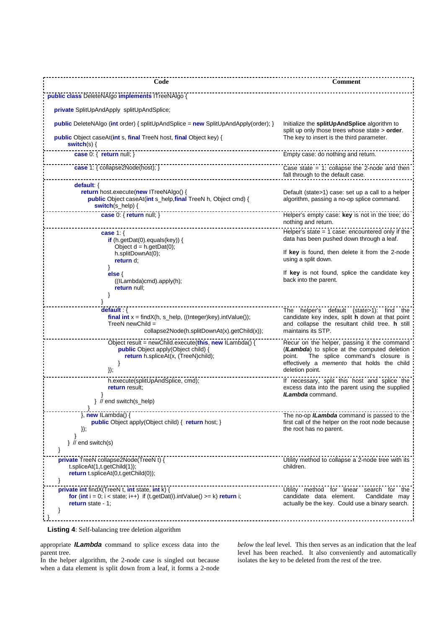| Code                                                                                                                                                                     | <b>Comment</b>                                                                                                                                                                                            |
|--------------------------------------------------------------------------------------------------------------------------------------------------------------------------|-----------------------------------------------------------------------------------------------------------------------------------------------------------------------------------------------------------|
| public class DeleteNAlgo implements ITreeNAlgo {                                                                                                                         |                                                                                                                                                                                                           |
| private SplitUpAndApply splitUpAndSplice;                                                                                                                                |                                                                                                                                                                                                           |
| <b>public</b> DeleteNAlgo (int order) { splitUpAndSplice = $new$ SplitUpAndApply(order); }                                                                               | Initialize the splitUpAndSplice algorithm to<br>split up only those trees whose state > order.                                                                                                            |
| public Object caseAt(int s, final TreeN host, final Object key) {<br>switch(s) $\{$                                                                                      | The key to insert is the third parameter.                                                                                                                                                                 |
| case 0: { return null; }                                                                                                                                                 | Empty case: do nothing and return.                                                                                                                                                                        |
| case 1: { collapse2Node(host); }                                                                                                                                         | Case state $= 1$ : collapse the 2-node and then<br>fall through to the default case.                                                                                                                      |
| default: {                                                                                                                                                               |                                                                                                                                                                                                           |
| <b>return</b> host.execute(new ITreeNAlgo() {<br>public Object caseAt(int s_help,final TreeN h, Object cmd) {<br>switch(s_help) {                                        | Default (state>1) case: set up a call to a helper<br>algorithm, passing a no-op splice command.                                                                                                           |
| case 0: { return null; }                                                                                                                                                 | Helper's empty case: key is not in the tree; do<br>nothing and return.                                                                                                                                    |
| case $1:$ {<br>if (h.getDat(0).equals(key)) {                                                                                                                            | Helper's state $= 1$ case: encountered only if the<br>data has been pushed down through a leaf.                                                                                                           |
| Object $d = h.getData(0);$<br>h.splitDownAt(0);<br>return d;                                                                                                             | If key is found, then delete it from the 2-node<br>using a split down.                                                                                                                                    |
| <sup>}</sup><br>else $\{$<br>$($ (ILambda) $cmd$ ).apply $(h)$ ;<br>return null:                                                                                         | If key is not found, splice the candidate key<br>back into the parent.                                                                                                                                    |
|                                                                                                                                                                          |                                                                                                                                                                                                           |
| default: $\{$<br>final int $x = \text{findX}(h, s_{he}p, ((\text{Integer})key).\text{intValue})).$<br>TreeN newChild $=$<br>collapse2Node(h.splitDownAt(x).getChild(x)); | The helper's default (state>1): find the<br>candidate key index, split h down at that point<br>and collapse the resultant child tree. h still<br>maintains its STP.                                       |
| Object result = newChild.execute(this, new ILambda() {<br>public Object apply(Object child) {<br>return h.spliceAt(x, (TreeN)child);<br>$\}$                             | Recur on the helper, passing it the command<br>(ILambda) to splice at the computed deletion<br>The splice command's closure is<br>point.<br>effectively a memento that holds the child<br>deletion point. |
| h.execute(splitUpAndSplice, cmd);<br>return result;                                                                                                                      | If necessary, split this host and splice the<br>excess data into the parent using the supplied<br><b>ILambda</b> command.                                                                                 |
| } // end switch(s_help)                                                                                                                                                  |                                                                                                                                                                                                           |
| $\}$ , new ILambda() {<br><b>public</b> Object apply(Object child) { return host; }<br>$\}$ ),                                                                           | The no-op <i>ILambda</i> command is passed to the<br>first call of the helper on the root node because<br>the root has no parent.                                                                         |
| $\}$ // end switch(s)<br>ł                                                                                                                                               |                                                                                                                                                                                                           |
| private TreeN collapse2Node(TreeN t) {<br>$t.\text{spliceAt}(1, t.\text{getChild}(1));$<br>return t.spliceAt(0,t.getChild(0));<br>}                                      | Utility method to collapse a 2-node tree with its<br>children.                                                                                                                                            |
| private int findX(TreeN t, int state, int k) {<br>for (int $i = 0$ ; $i <$ state; $i++$ ) if (t.getDat(i).intValue() >= k) return i;<br>return state - $1$ ;             | Utility method for linear search for the<br>candidate data element.<br>Candidate may<br>actually be the key. Could use a binary search.                                                                   |

**Listing 4**: Self-balancing tree deletion algorithm

appropriate **ILambda** command to splice excess data into the parent tree.

In the helper algorithm, the 2-node case is singled out because when a data element is split down from a leaf, it forms a 2-node

*below* the leaf level. This then serves as an indication that the leaf level has been reached. It also conveniently and automatically isolates the key to be deleted from the rest of the tree.